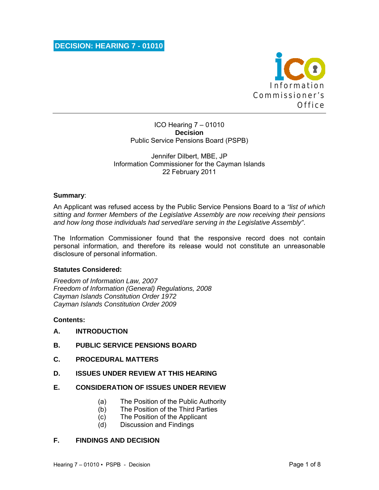

ICO Hearing 7 – 01010 **Decision**  Public Service Pensions Board (PSPB)

Jennifer Dilbert, MBE, JP Information Commissioner for the Cayman Islands 22 February 2011

#### **Summary**:

An Applicant was refused access by the Public Service Pensions Board to a *"list of which sitting and former Members of the Legislative Assembly are now receiving their pensions and how long those individuals had served/are serving in the Legislative Assembly"*.

The Information Commissioner found that the responsive record does not contain personal information, and therefore its release would not constitute an unreasonable disclosure of personal information.

#### **Statutes Considered:**

*Freedom of Information Law, 2007 Freedom of Information (General) Regulations, 2008 Cayman Islands Constitution Order 1972 Cayman Islands Constitution Order 2009* 

#### **Contents:**

- **A. INTRODUCTION**
- **B. PUBLIC SERVICE PENSIONS BOARD**
- **C. PROCEDURAL MATTERS**
- **D. ISSUES UNDER REVIEW AT THIS HEARING**

#### **E. CONSIDERATION OF ISSUES UNDER REVIEW**

- (a) The Position of the Public Authority
- (b) The Position of the Third Parties
- (c) The Position of the Applicant
- (d) Discussion and Findings

#### **F. FINDINGS AND DECISION**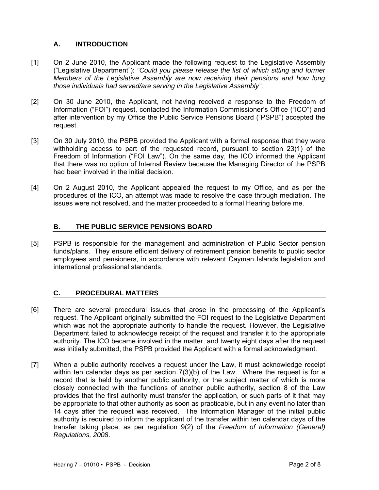# **A. INTRODUCTION**

- [1] On 2 June 2010, the Applicant made the following request to the Legislative Assembly ("Legislative Department"): *"Could you please release the list of which sitting and former Members of the Legislative Assembly are now receiving their pensions and how long those individuals had served/are serving in the Legislative Assembly"*.
- [2] On 30 June 2010, the Applicant, not having received a response to the Freedom of Information ("FOI") request, contacted the Information Commissioner's Office ("ICO") and after intervention by my Office the Public Service Pensions Board ("PSPB") accepted the request.
- [3] On 30 July 2010, the PSPB provided the Applicant with a formal response that they were withholding access to part of the requested record, pursuant to section 23(1) of the Freedom of Information ("FOI Law"). On the same day, the ICO informed the Applicant that there was no option of Internal Review because the Managing Director of the PSPB had been involved in the initial decision.
- [4] On 2 August 2010, the Applicant appealed the request to my Office, and as per the procedures of the ICO, an attempt was made to resolve the case through mediation. The issues were not resolved, and the matter proceeded to a formal Hearing before me.

# **B. THE PUBLIC SERVICE PENSIONS BOARD**

[5] PSPB is responsible for the management and administration of Public Sector pension funds/plans. They ensure efficient delivery of retirement pension benefits to public sector employees and pensioners, in accordance with relevant Cayman Islands legislation and international professional standards.

# **C. PROCEDURAL MATTERS**

- [6] There are several procedural issues that arose in the processing of the Applicant's request. The Applicant originally submitted the FOI request to the Legislative Department which was not the appropriate authority to handle the request. However, the Legislative Department failed to acknowledge receipt of the request and transfer it to the appropriate authority. The ICO became involved in the matter, and twenty eight days after the request was initially submitted, the PSPB provided the Applicant with a formal acknowledgment.
- [7] When a public authority receives a request under the Law, it must acknowledge receipt within ten calendar days as per section 7(3)(b) of the Law. Where the request is for a record that is held by another public authority, or the subject matter of which is more closely connected with the functions of another public authority, section 8 of the Law provides that the first authority must transfer the application, or such parts of it that may be appropriate to that other authority as soon as practicable, but in any event no later than 14 days after the request was received. The Information Manager of the initial public authority is required to inform the applicant of the transfer within ten calendar days of the transfer taking place, as per regulation 9(2) of the *Freedom of Information (General) Regulations, 2008*.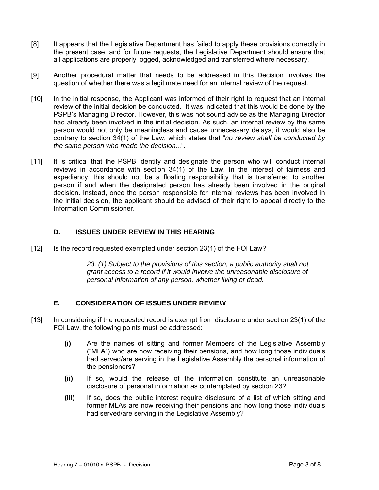- [8] It appears that the Legislative Department has failed to apply these provisions correctly in the present case, and for future requests, the Legislative Department should ensure that all applications are properly logged, acknowledged and transferred where necessary.
- [9] Another procedural matter that needs to be addressed in this Decision involves the question of whether there was a legitimate need for an internal review of the request.
- [10] In the initial response, the Applicant was informed of their right to request that an internal review of the initial decision be conducted. It was indicated that this would be done by the PSPB's Managing Director. However, this was not sound advice as the Managing Director had already been involved in the initial decision. As such, an internal review by the same person would not only be meaningless and cause unnecessary delays, it would also be contrary to section 34(1) of the Law, which states that "*no review shall be conducted by the same person who made the decision...*".
- [11] It is critical that the PSPB identify and designate the person who will conduct internal reviews in accordance with section 34(1) of the Law. In the interest of fairness and expediency, this should not be a floating responsibility that is transferred to another person if and when the designated person has already been involved in the original decision. Instead, once the person responsible for internal reviews has been involved in the initial decision, the applicant should be advised of their right to appeal directly to the Information Commissioner.

# **D. ISSUES UNDER REVIEW IN THIS HEARING**

[12] Is the record requested exempted under section 23(1) of the FOI Law?

*23. (1) Subject to the provisions of this section, a public authority shall not grant access to a record if it would involve the unreasonable disclosure of personal information of any person, whether living or dead.* 

# **E. CONSIDERATION OF ISSUES UNDER REVIEW**

- [13] In considering if the requested record is exempt from disclosure under section 23(1) of the FOI Law, the following points must be addressed:
	- **(i)** Are the names of sitting and former Members of the Legislative Assembly ("MLA") who are now receiving their pensions, and how long those individuals had served/are serving in the Legislative Assembly the personal information of the pensioners?
	- **(ii)** If so, would the release of the information constitute an unreasonable disclosure of personal information as contemplated by section 23?
	- **(iii)** If so, does the public interest require disclosure of a list of which sitting and former MLAs are now receiving their pensions and how long those individuals had served/are serving in the Legislative Assembly?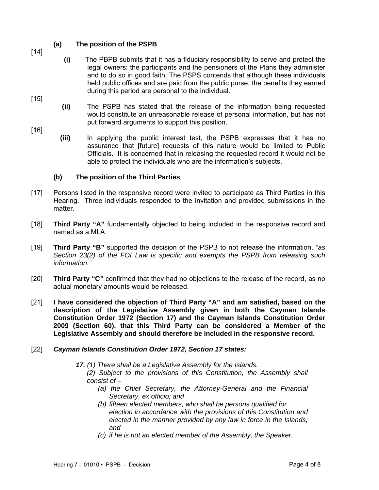# **(a) The position of the PSPB**

[14]

[15]

- 
- **(i)** The PBPB submits that it has a fiduciary responsibility to serve and protect the legal owners: the participants and the pensioners of the Plans they administer and to do so in good faith. The PSPS contends that although these individuals held public offices and are paid from the public purse, the benefits they earned during this period are personal to the individual.
- **(ii)** The PSPB has stated that the release of the information being requested would constitute an unreasonable release of personal information, but has not put forward arguments to support this position.
- [16]
	- **(iii)** In applying the public interest test, the PSPB expresses that it has no assurance that [future] requests of this nature would be limited to Public Officials. It is concerned that in releasing the requested record it would not be able to protect the individuals who are the information's subjects.

# **(b) The position of the Third Parties**

- [17] Persons listed in the responsive record were invited to participate as Third Parties in this Hearing. Three individuals responded to the invitation and provided submissions in the matter.
- [18] **Third Party "A"** fundamentally objected to being included in the responsive record and named as a MLA.
- [19] **Third Party "B"** supported the decision of the PSPB to not release the information, *"as Section 23(2) of the FOI Law is specific and exempts the PSPB from releasing such information."*
- [20] **Third Party "C"** confirmed that they had no objections to the release of the record, as no actual monetary amounts would be released.
- [21] **I have considered the objection of Third Party "A" and am satisfied, based on the description of the Legislative Assembly given in both the Cayman Islands Constitution Order 1972 (Section 17) and the Cayman Islands Constitution Order 2009 (Section 60), that this Third Party can be considered a Member of the Legislative Assembly and should therefore be included in the responsive record.**
- [22] *Cayman Islands Constitution Order 1972, Section 17 states:*

*17. (1) There shall be a Legislative Assembly for the Islands.* 

*(2) Subject to the provisions of this Constitution, the Assembly shall consist of –* 

- *(a) the Chief Secretary, the Attorney-General and the Financial Secretary, ex officio; and*
- *(b) fifteen elected members, who shall be persons qualified for election in accordance with the provisions of this Constitution and elected in the manner provided by any law in force in the Islands; and*
- *(c) if he is not an elected member of the Assembly, the Speaker.*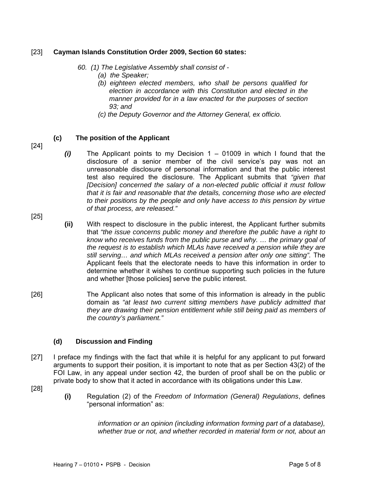#### [23] **Cayman Islands Constitution Order 2009, Section 60 states:**

- *60. (1) The Legislative Assembly shall consist of* 
	- *(a) the Speaker;*
	- *(b) eighteen elected members, who shall be persons qualified for election in accordance with this Constitution and elected in the manner provided for in a law enacted for the purposes of section 93; and*
	- *(c) the Deputy Governor and the Attorney General, ex officio.*

# **(c) The position of the Applicant**

[24]

[25]

- *(i)* The Applicant points to my Decision 1 01009 in which I found that the disclosure of a senior member of the civil service's pay was not an unreasonable disclosure of personal information and that the public interest test also required the disclosure. The Applicant submits that *"given that [Decision] concerned the salary of a non-elected public official it must follow that it is fair and reasonable that the details, concerning those who are elected to their positions by the people and only have access to this pension by virtue of that process, are released."*
- **(ii)** With respect to disclosure in the public interest, the Applicant further submits that *"the issue concerns public money and therefore the public have a right to know who receives funds from the public purse and why. … the primary goal of the request is to establish which MLAs have received a pension while they are still serving… and which MLAs received a pension after only one sitting".* The Applicant feels that the electorate needs to have this information in order to determine whether it wishes to continue supporting such policies in the future and whether [those policies] serve the public interest.
- [26] The Applicant also notes that some of this information is already in the public domain as *"at least two current sitting members have publicly admitted that they are drawing their pension entitlement while still being paid as members of the country's parliament."*

# **(d) Discussion and Finding**

- [27] I preface my findings with the fact that while it is helpful for any applicant to put forward arguments to support their position, it is important to note that as per Section 43(2) of the FOI Law, in any appeal under section 42, the burden of proof shall be on the public or private body to show that it acted in accordance with its obligations under this Law.
- [28]
- **(i)** Regulation (2) of the *Freedom of Information (General) Regulations*, defines "personal information" as:

*information or an opinion (including information forming part of a database), whether true or not, and whether recorded in material form or not, about an*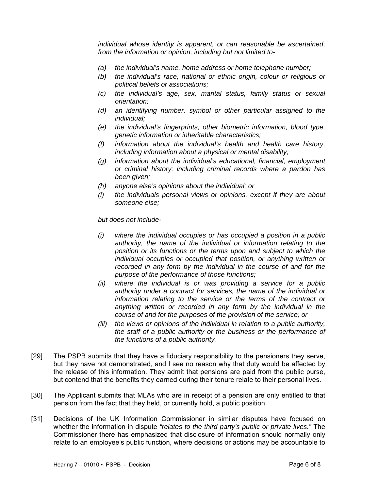*individual whose identity is apparent, or can reasonable be ascertained, from the information or opinion, including but not limited to-* 

- *(a) the individual's name, home address or home telephone number;*
- *(b) the individual's race, national or ethnic origin, colour or religious or political beliefs or associations;*
- *(c) the individual's age, sex, marital status, family status or sexual orientation;*
- *(d) an identifying number, symbol or other particular assigned to the individual;*
- *(e) the individual's fingerprints, other biometric information, blood type, genetic information or inheritable characteristics;*
- *(f) information about the individual's health and health care history, including information about a physical or mental disability;*
- *(g) information about the individual's educational, financial, employment or criminal history; including criminal records where a pardon has been given;*
- *(h) anyone else's opinions about the individual; or*
- *(i) the individuals personal views or opinions, except if they are about someone else;*

*but does not include-* 

- *(i) where the individual occupies or has occupied a position in a public authority, the name of the individual or information relating to the position or its functions or the terms upon and subject to which the individual occupies or occupied that position, or anything written or recorded in any form by the individual in the course of and for the purpose of the performance of those functions;*
- *(ii) where the individual is or was providing a service for a public authority under a contract for services, the name of the individual or information relating to the service or the terms of the contract or anything written or recorded in any form by the individual in the course of and for the purposes of the provision of the service; or*
- *(iii) the views or opinions of the individual in relation to a public authority, the staff of a public authority or the business or the performance of the functions of a public authority.*
- [29] The PSPB submits that they have a fiduciary responsibility to the pensioners they serve, but they have not demonstrated, and I see no reason why that duty would be affected by the release of this information. They admit that pensions are paid from the public purse, but contend that the benefits they earned during their tenure relate to their personal lives.
- [30] The Applicant submits that MLAs who are in receipt of a pension are only entitled to that pension from the fact that they held, or currently hold, a public position.
- [31] Decisions of the UK Information Commissioner in similar disputes have focused on whether the information in dispute *"relates to the third party's public or private lives."* The Commissioner there has emphasized that disclosure of information should normally only relate to an employee's public function, where decisions or actions may be accountable to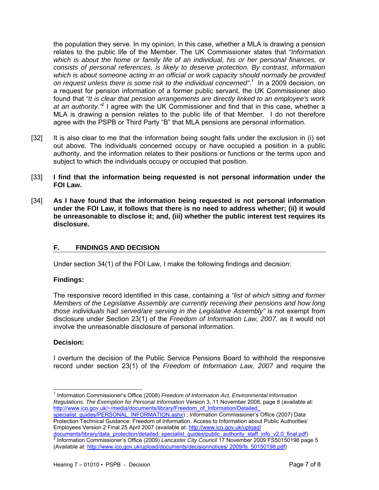the population they serve. In my opinion, in this case, whether a MLA is drawing a pension relates to the public life of the Member. The UK Commissioner states that *"Information which is about the home or family life of an individual, his or her personal finances, or consists of personal references, is likely to deserve protection. By contrast, information which is about someone acting in an official or work capacity should normally be provided on request unless there is some risk to the individual concerned"*. 1 In a 2009 decision, on a request for pension information of a former public servant, the UK Commissioner also found that *"It is clear that pension arrangements are directly linked to an employee's work*  at an authority.<sup>2</sup> I agree with the UK Commissioner and find that in this case, whether a MLA is drawing a pension relates to the public life of that Member. I do not therefore agree with the PSPB or Third Party "B" that MLA pensions are personal information.

- [32] It is also clear to me that the information being sought falls under the exclusion in (i) set out above. The individuals concerned occupy or have occupied a position in a public authority, and the information relates to their positions or functions or the terms upon and subject to which the individuals occupy or occupied that position.
- [33] **I find that the information being requested is not personal information under the FOI Law.**
- [34] **As I have found that the information being requested is not personal information under the FOI Law, it follows that there is no need to address whether; (ii) it would be unreasonable to disclose it; and, (iii) whether the public interest test requires its disclosure.**

# **F. FINDINGS AND DECISION**

Under section 34(1) of the FOI Law, I make the following findings and decision:

#### **Findings:**

 The responsive record identified in this case, containing a *"list of which sitting and former Members of the Legislative Assembly are currently receiving their pensions and how long those individuals had served/are serving in the Legislative Assembly"* is not exempt from disclosure under Section 23(1) of the *Freedom of Information Law, 2007*, as it would not involve the unreasonable disclosure of personal information.

# **Decision:**

l

I overturn the decision of the Public Service Pensions Board to withhold the responsive record under section 23(1) of the *Freedom of Information Law, 2007* and require the

<sup>1</sup> Information Commissioner's Office (2008) *Freedom of Information Act. Environmental Information Regulations. The Exemption for Personal Information* Version 3, 11 November 2008, page 8 (available at: http://www.ico.gov.uk/~/media/documents/library/Freedom\_of\_Information/Detailed

specialist\_guides/PERSONAL\_INFORMATION.ashx) ; Information Commissioner's Office (2007) Data Protection Technical Guidance: Freedom of Information. Access to Information about Public Authorities' Employees Version 2 Final 25 April 2007 (available at: http://www.ico.gov.uk/upload/

documents/library/data\_protection/detailed\_specialist\_guides/public\_authority\_staff\_info\_v2.0\_final.pdf)<br>2 Information Commissioner's Office (2000) Lapsoster City Council 17 November 2000 ES50150108 peo Information Commissioner's Office (2009) *Lancaster City Council* 17 November 2009 FS50150198 page 5 (Available at: http://www.ico.gov.uk/upload/documents/decisionnotices/ 2009/fs\_50150198.pdf)